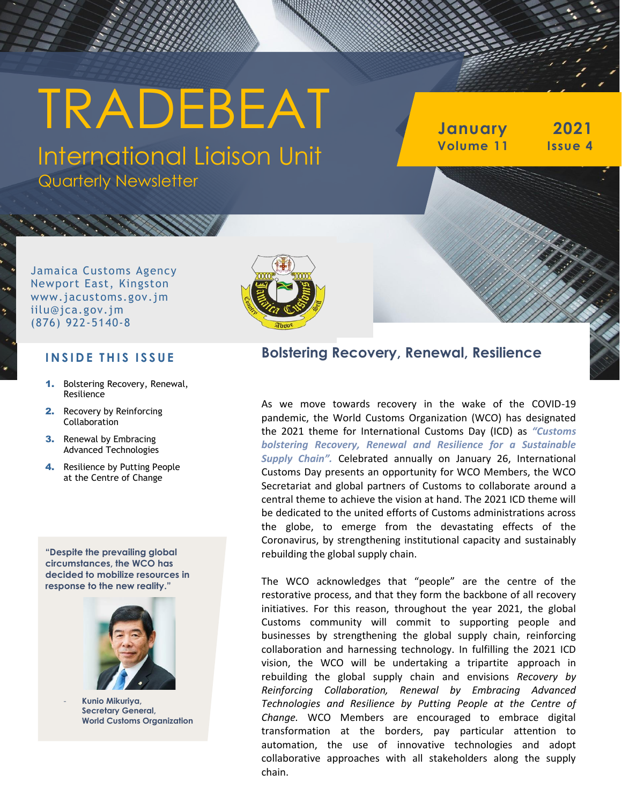# TRADEBEAT

International Liaison Unit Quarterly Newsletter

**January 2021 Volume 11 Issue 4**

Jamaica Customs Agency Newport East, Kingston www.jacustoms.gov.jm iilu@jca.gov.jm (876) 922-5140-8



#### **I N S I D E T H I S I S S U E**

- 1. Bolstering Recovery, Renewal, Resilience
- 2. Recovery by Reinforcing Collaboration
- **3.** Renewal by Embracing Advanced Technologies
- 4. Resilience by Putting People at the Centre of Change

**"Despite the prevailing global circumstances, the WCO has decided to mobilize resources in response to the new reality."**



- **Kunio Mikuriya, Secretary General, World Customs Organization**

#### **Bolstering Recovery, Renewal, Resilience**

As we move towards recovery in the wake of the COVID-19 pandemic, the World Customs Organization (WCO) has designated the 2021 theme for International Customs Day (ICD) as *"Customs bolstering Recovery, Renewal and Resilience for a Sustainable Supply Chain".* Celebrated annually on January 26, International Customs Day presents an opportunity for WCO Members, the WCO Secretariat and global partners of Customs to collaborate around a central theme to achieve the vision at hand. The 2021 ICD theme will be dedicated to the united efforts of Customs administrations across the globe, to emerge from the devastating effects of the Coronavirus, by strengthening institutional capacity and sustainably rebuilding the global supply chain.

The WCO acknowledges that "people" are the centre of the restorative process, and that they form the backbone of all recovery initiatives. For this reason, throughout the year 2021, the global Customs community will commit to supporting people and businesses by strengthening the global supply chain, reinforcing collaboration and harnessing technology. In fulfilling the 2021 ICD vision, the WCO will be undertaking a tripartite approach in rebuilding the global supply chain and envisions *Recovery by Reinforcing Collaboration, Renewal by Embracing Advanced Technologies and Resilience by Putting People at the Centre of Change.* WCO Members are encouraged to embrace digital transformation at the borders, pay particular attention to automation, the use of innovative technologies and adopt collaborative approaches with all stakeholders along the supply chain.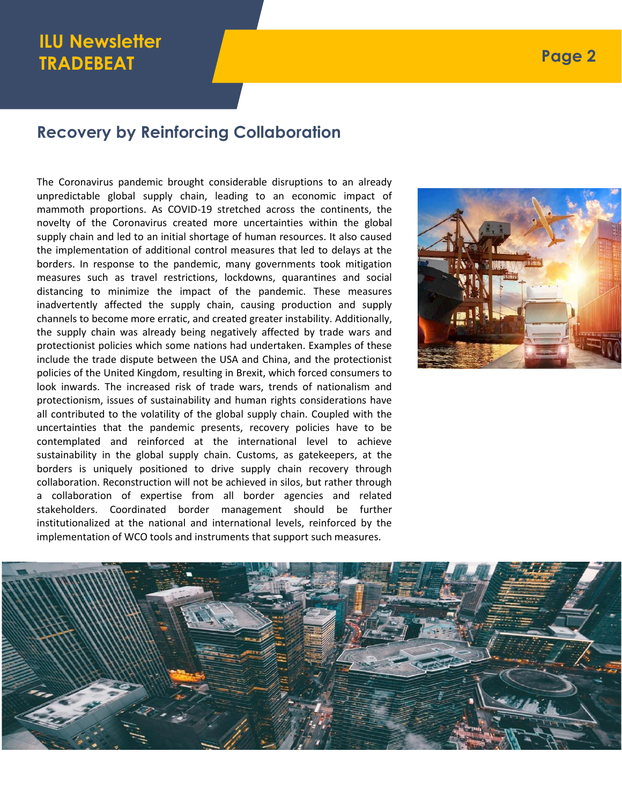# **ILU Newsletter TRADEBEAT**

#### **Recovery by Reinforcing Collaboration**

The Coronavirus pandemic brought considerable disruptions to an already unpredictable global supply chain, leading to an economic impact of mammoth proportions. As COVID-19 stretched across the continents, the novelty of the Coronavirus created more uncertainties within the global supply chain and led to an initial shortage of human resources. It also caused the implementation of additional control measures that led to delays at the borders. In response to the pandemic, many governments took mitigation measures such as travel restrictions, lockdowns, quarantines and social distancing to minimize the impact of the pandemic. These measures inadvertently affected the supply chain, causing production and supply channels to become more erratic, and created greater instability. Additionally, the supply chain was already being negatively affected by trade wars and protectionist policies which some nations had undertaken. Examples of these include the trade dispute between the USA and China, and the protectionist policies of the United Kingdom, resulting in Brexit, which forced consumers to look inwards. The increased risk of trade wars, trends of nationalism and protectionism, issues of sustainability and human rights considerations have all contributed to the volatility of the global supply chain. Coupled with the uncertainties that the pandemic presents, recovery policies have to be contemplated and reinforced at the international level to achieve sustainability in the global supply chain. Customs, as gatekeepers, at the borders is uniquely positioned to drive supply chain recovery through collaboration. Reconstruction will not be achieved in silos, but rather through a collaboration of expertise from all border agencies and related stakeholders. Coordinated border management should be further institutionalized at the national and international levels, reinforced by the implementation of WCO tools and instruments that support such measures.



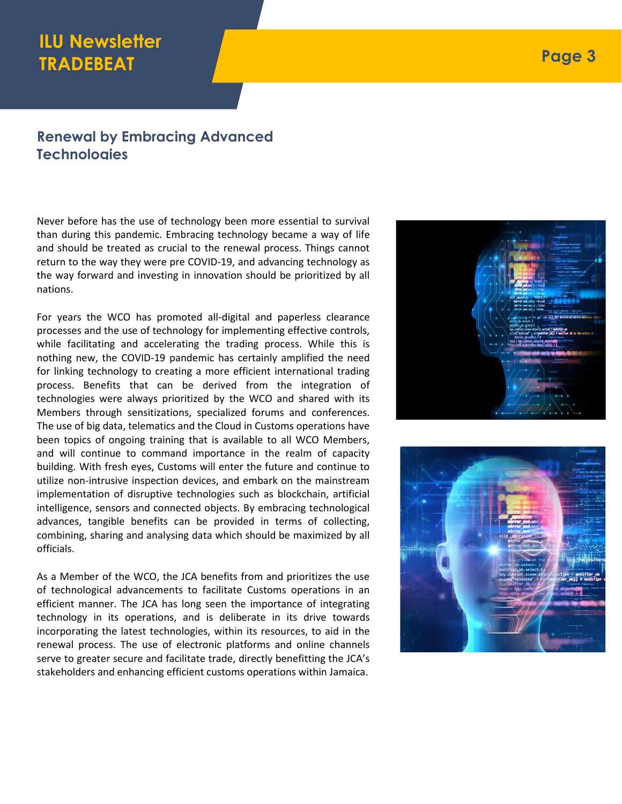## **ILU Newsletter TRADEBEAT**

#### **Renewal by Embracing Advanced Technologies**

Never before has the use of technology been more essential to survival than during this pandemic. Embracing technology became a way of life and should be treated as crucial to the renewal process. Things cannot return to the way they were pre COVID-19, and advancing technology as the way forward and investing in innovation should be prioritized by all nations.

For years the WCO has promoted all-digital and paperless clearance processes and the use of technology for implementing effective controls, while facilitating and accelerating the trading process. While this is nothing new, the COVID-19 pandemic has certainly amplified the need for linking technology to creating a more efficient international trading process. Benefits that can be derived from the integration of technologies were always prioritized by the WCO and shared with its Members through sensitizations, specialized forums and conferences. The use of big data, telematics and the Cloud in Customs operations have been topics of ongoing training that is available to all WCO Members, and will continue to command importance in the realm of capacity building. With fresh eyes, Customs will enter the future and continue to utilize non-intrusive inspection devices, and embark on the mainstream implementation of disruptive technologies such as blockchain, artificial intelligence, sensors and connected objects. By embracing technological advances, tangible benefits can be provided in terms of collecting, combining, sharing and analysing data which should be maximized by all officials.

As a Member of the WCO, the JCA benefits from and prioritizes the use of technological advancements to facilitate Customs operations in an efficient manner. The JCA has long seen the importance of integrating technology in its operations, and is deliberate in its drive towards incorporating the latest technologies, within its resources, to aid in the renewal process. The use of electronic platforms and online channels serve to greater secure and facilitate trade, directly benefitting the JCA's stakeholders and enhancing efficient customs operations within Jamaica.